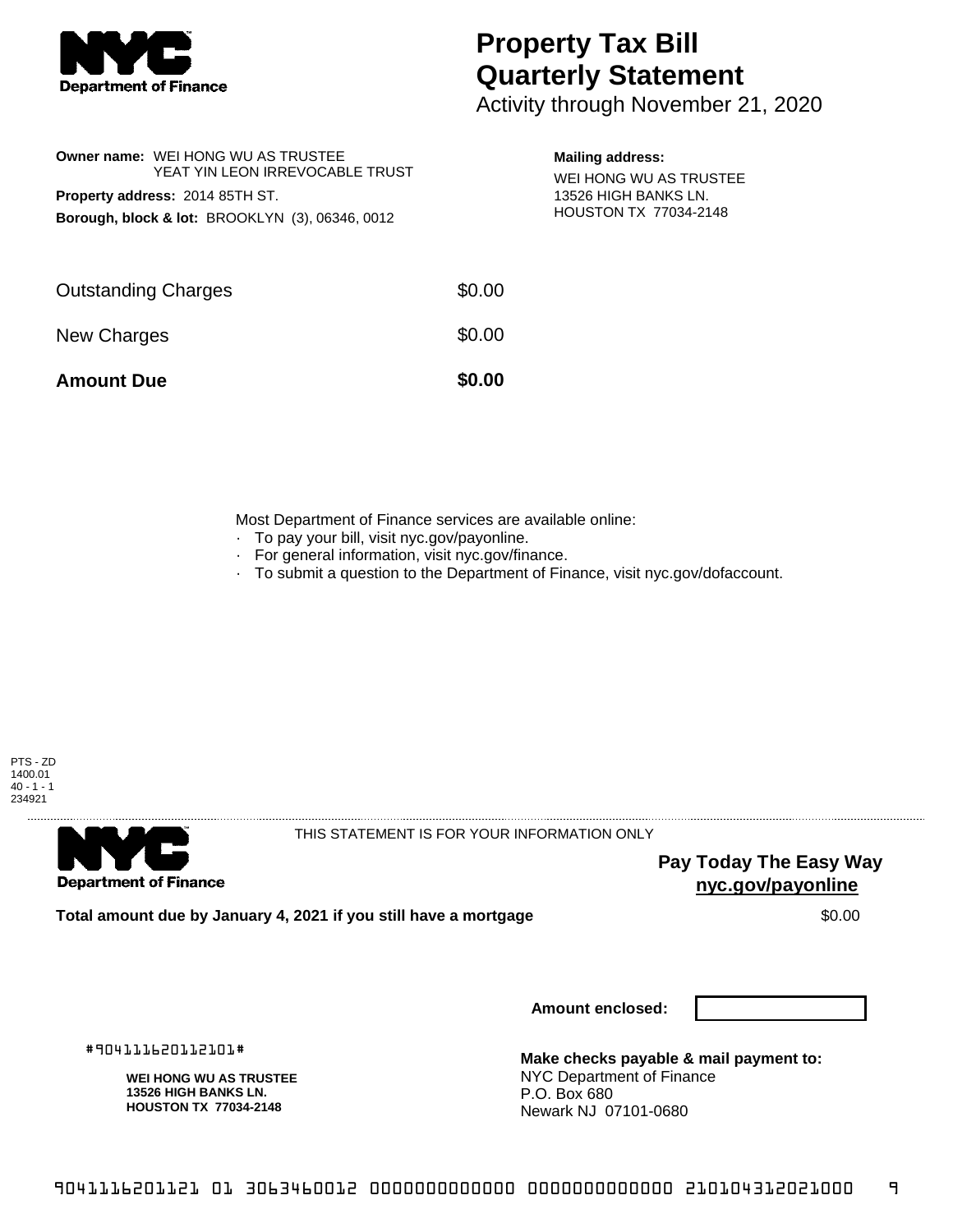

## **Property Tax Bill Quarterly Statement**

Activity through November 21, 2020

| <b>Owner name: WEI HONG WU AS TRUSTEE</b><br>YEAT YIN LEON IRREVOCABLE TRUST | <b>Mailing address:</b><br>WEI HONG WU AS TRUSTEE<br>13526 HIGH BANKS LN. |                       |
|------------------------------------------------------------------------------|---------------------------------------------------------------------------|-----------------------|
| <b>Property address: 2014 85TH ST.</b>                                       |                                                                           |                       |
| Borough, block & lot: BROOKLYN (3), 06346, 0012                              |                                                                           | HOUSTON TX 77034-2148 |
| <b>Outstanding Charges</b>                                                   | \$0.00                                                                    |                       |
| <b>New Charges</b>                                                           | \$0.00                                                                    |                       |

**Amount Due \$0.00** 

Most Department of Finance services are available online:

- · To pay your bill, visit nyc.gov/payonline.
- For general information, visit nyc.gov/finance.
- · To submit a question to the Department of Finance, visit nyc.gov/dofaccount.

PTS - ZD 1400.01  $40 - 1 - 1$ 234921



THIS STATEMENT IS FOR YOUR INFORMATION ONLY

**Pay Today The Easy Way nyc.gov/payonline**

**Total amount due by January 4, 2021 if you still have a mortgage**  $$0.00$ 

**Amount enclosed:**

#904111620112101#

**WEI HONG WU AS TRUSTEE 13526 HIGH BANKS LN. HOUSTON TX 77034-2148**

**Make checks payable & mail payment to:** NYC Department of Finance P.O. Box 680 Newark NJ 07101-0680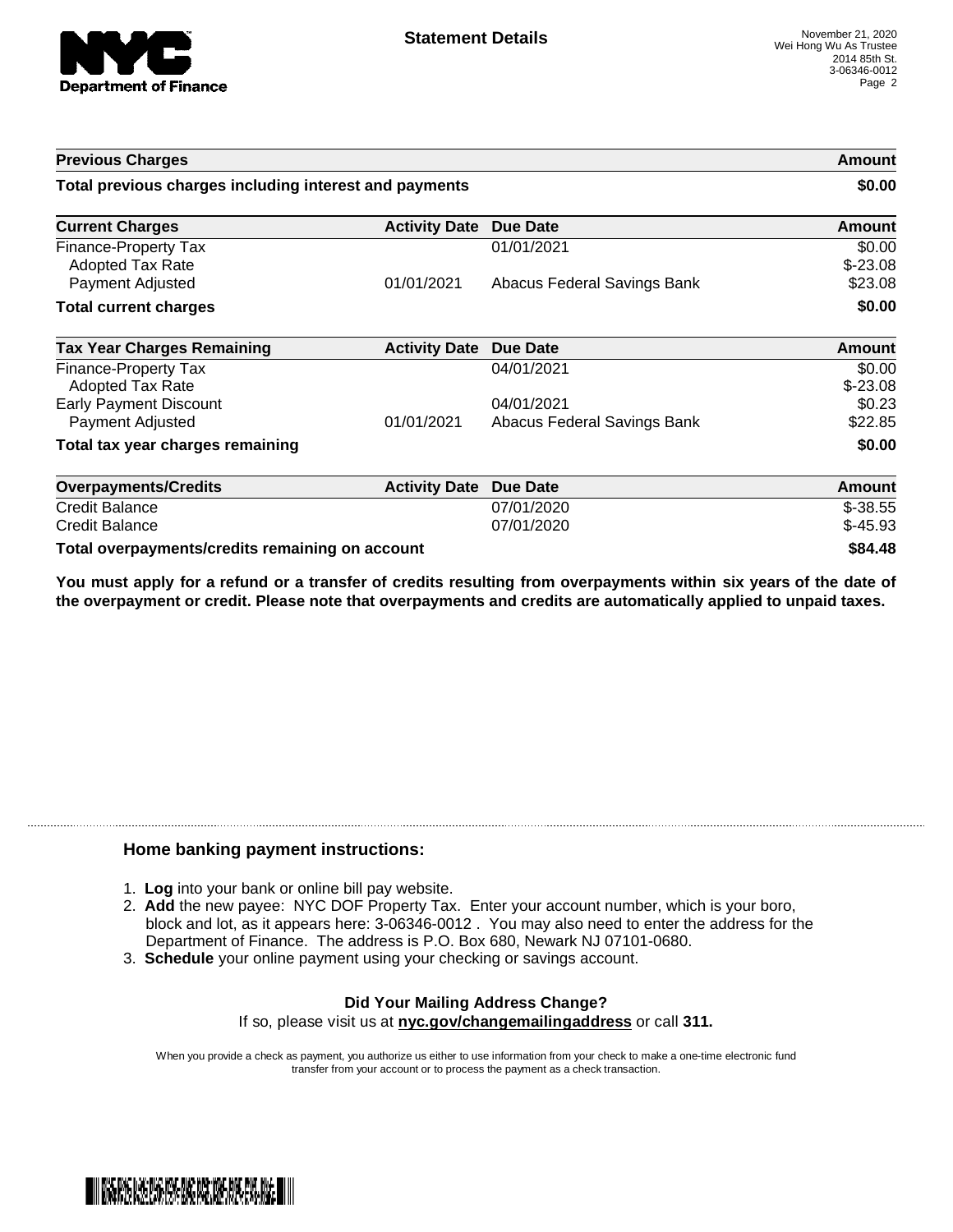

| <b>Previous Charges</b>                                |                      |                             | Amount              |
|--------------------------------------------------------|----------------------|-----------------------------|---------------------|
| Total previous charges including interest and payments |                      |                             | \$0.00              |
| <b>Current Charges</b>                                 | <b>Activity Date</b> | Due Date                    | <b>Amount</b>       |
| Finance-Property Tax<br><b>Adopted Tax Rate</b>        |                      | 01/01/2021                  | \$0.00<br>$$-23.08$ |
| <b>Payment Adjusted</b>                                | 01/01/2021           | Abacus Federal Savings Bank | \$23.08             |
| <b>Total current charges</b>                           |                      |                             | \$0.00              |
| <b>Tax Year Charges Remaining</b>                      | <b>Activity Date</b> | Due Date                    | Amount              |
| <b>Finance-Property Tax</b><br><b>Adopted Tax Rate</b> |                      | 04/01/2021                  | \$0.00<br>$$-23.08$ |
| <b>Early Payment Discount</b>                          |                      | 04/01/2021                  | \$0.23              |
| Payment Adjusted                                       | 01/01/2021           | Abacus Federal Savings Bank | \$22.85             |
| Total tax year charges remaining                       |                      |                             | \$0.00              |
| <b>Overpayments/Credits</b>                            | <b>Activity Date</b> | <b>Due Date</b>             | <b>Amount</b>       |
| <b>Credit Balance</b>                                  |                      | 07/01/2020                  | $$-38.55$           |
| <b>Credit Balance</b>                                  |                      | 07/01/2020                  | $$-45.93$           |
| Total overpayments/credits remaining on account        |                      |                             | \$84.48             |

You must apply for a refund or a transfer of credits resulting from overpayments within six years of the date of **the overpayment or credit. Please note that overpayments and credits are automatically applied to unpaid taxes.**

## **Home banking payment instructions:**

- 1. **Log** into your bank or online bill pay website.
- 2. **Add** the new payee: NYC DOF Property Tax. Enter your account number, which is your boro, block and lot, as it appears here: 3-06346-0012 . You may also need to enter the address for the Department of Finance. The address is P.O. Box 680, Newark NJ 07101-0680.
- 3. **Schedule** your online payment using your checking or savings account.

## **Did Your Mailing Address Change?** If so, please visit us at **nyc.gov/changemailingaddress** or call **311.**

When you provide a check as payment, you authorize us either to use information from your check to make a one-time electronic fund transfer from your account or to process the payment as a check transaction.